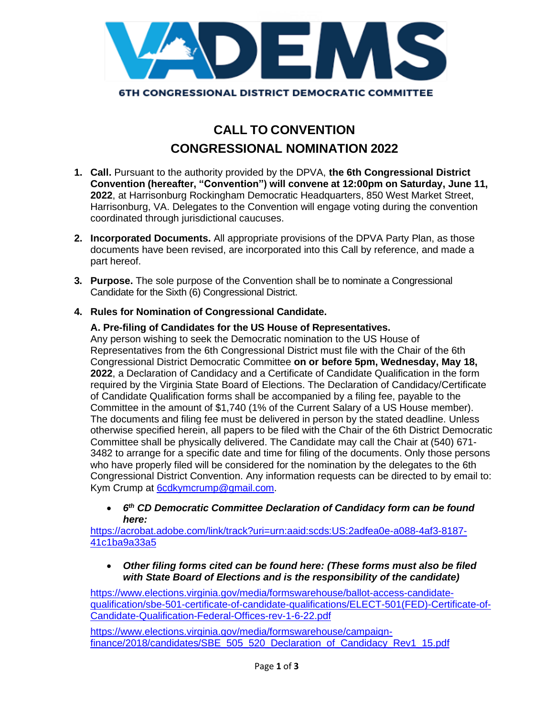

# **CALL TO CONVENTION CONGRESSIONAL NOMINATION 2022**

- **1. Call.** Pursuant to the authority provided by the DPVA, **the 6th Congressional District Convention (hereafter, "Convention") will convene at 12:00pm on Saturday, June 11, 2022**, at Harrisonburg Rockingham Democratic Headquarters, 850 West Market Street, Harrisonburg, VA. Delegates to the Convention will engage voting during the convention coordinated through jurisdictional caucuses.
- **2. Incorporated Documents.** All appropriate provisions of the DPVA Party Plan, as those documents have been revised, are incorporated into this Call by reference, and made a part hereof.
- **3. Purpose.** The sole purpose of the Convention shall be to nominate a Congressional Candidate for the Sixth (6) Congressional District.
- **4. Rules for Nomination of Congressional Candidate.**

## **A. Pre-filing of Candidates for the US House of Representatives.**

Any person wishing to seek the Democratic nomination to the US House of Representatives from the 6th Congressional District must file with the Chair of the 6th Congressional District Democratic Committee **on or before 5pm, Wednesday, May 18, 2022**, a Declaration of Candidacy and a Certificate of Candidate Qualification in the form required by the Virginia State Board of Elections. The Declaration of Candidacy/Certificate of Candidate Qualification forms shall be accompanied by a filing fee, payable to the Committee in the amount of \$1,740 (1% of the Current Salary of a US House member). The documents and filing fee must be delivered in person by the stated deadline. Unless otherwise specified herein, all papers to be filed with the Chair of the 6th District Democratic Committee shall be physically delivered. The Candidate may call the Chair at (540) 671- 3482 to arrange for a specific date and time for filing of the documents. Only those persons who have properly filed will be considered for the nomination by the delegates to the 6th Congressional District Convention. Any information requests can be directed to by email to: Kym Crump at [6cdkymcrump@gmail.com.](mailto:6cdkymcrump@gmail.com)

• *6 th CD Democratic Committee Declaration of Candidacy form can be found here:* 

[https://acrobat.adobe.com/link/track?uri=urn:aaid:scds:US:2adfea0e-a088-4af3-8187-](https://acrobat.adobe.com/link/track?uri=urn:aaid:scds:US:2adfea0e-a088-4af3-8187-41c1ba9a33a5) [41c1ba9a33a5](https://acrobat.adobe.com/link/track?uri=urn:aaid:scds:US:2adfea0e-a088-4af3-8187-41c1ba9a33a5)

• *Other filing forms cited can be found here: (These forms must also be filed with State Board of Elections and is the responsibility of the candidate)*

[https://www.elections.virginia.gov/media/formswarehouse/ballot-access-candidate](https://www.elections.virginia.gov/media/formswarehouse/ballot-access-candidate-qualification/sbe-501-certificate-of-candidate-qualifications/ELECT-501(FED)-Certificate-of-Candidate-Qualification-Federal-Offices-rev-1-6-22.pdf)[qualification/sbe-501-certificate-of-candidate-qualifications/ELECT-501\(FED\)-Certificate-of-](https://www.elections.virginia.gov/media/formswarehouse/ballot-access-candidate-qualification/sbe-501-certificate-of-candidate-qualifications/ELECT-501(FED)-Certificate-of-Candidate-Qualification-Federal-Offices-rev-1-6-22.pdf)[Candidate-Qualification-Federal-Offices-rev-1-6-22.pdf](https://www.elections.virginia.gov/media/formswarehouse/ballot-access-candidate-qualification/sbe-501-certificate-of-candidate-qualifications/ELECT-501(FED)-Certificate-of-Candidate-Qualification-Federal-Offices-rev-1-6-22.pdf)

[https://www.elections.virginia.gov/media/formswarehouse/campaign](https://www.elections.virginia.gov/media/formswarehouse/campaign-finance/2018/candidates/SBE_505_520_Declaration_of_Candidacy_Rev1_15.pdf)[finance/2018/candidates/SBE\\_505\\_520\\_Declaration\\_of\\_Candidacy\\_Rev1\\_15.pdf](https://www.elections.virginia.gov/media/formswarehouse/campaign-finance/2018/candidates/SBE_505_520_Declaration_of_Candidacy_Rev1_15.pdf)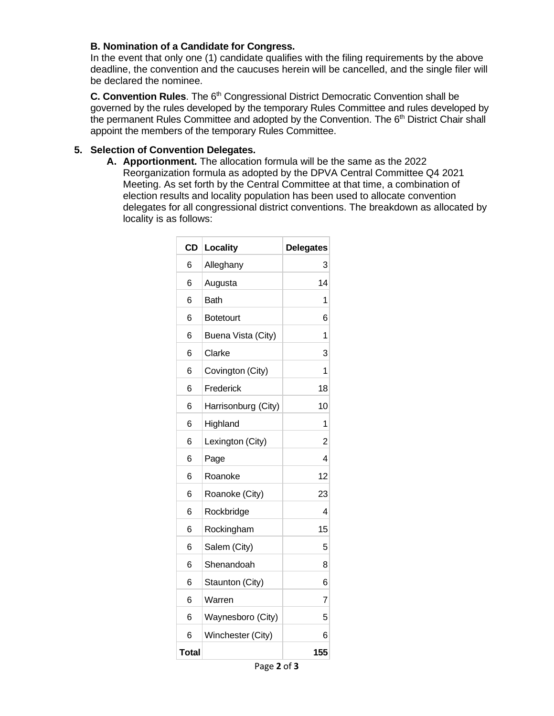### **B. Nomination of a Candidate for Congress.**

In the event that only one (1) candidate qualifies with the filing requirements by the above deadline, the convention and the caucuses herein will be cancelled, and the single filer will be declared the nominee.

**C. Convention Rules**. The 6<sup>th</sup> Congressional District Democratic Convention shall be governed by the rules developed by the temporary Rules Committee and rules developed by the permanent Rules Committee and adopted by the Convention. The 6<sup>th</sup> District Chair shall appoint the members of the temporary Rules Committee.

### **5. Selection of Convention Delegates.**

**A. Apportionment.** The allocation formula will be the same as the 2022 Reorganization formula as adopted by the DPVA Central Committee Q4 2021 Meeting. As set forth by the Central Committee at that time, a combination of election results and locality population has been used to allocate convention delegates for all congressional district conventions. The breakdown as allocated by locality is as follows:

| <b>CD</b> | <b>Locality</b>     | <b>Delegates</b> |
|-----------|---------------------|------------------|
| 6         | Alleghany           | 3                |
| 6         | Augusta             | 14               |
| 6         | <b>Bath</b>         | 1                |
| 6         | <b>Botetourt</b>    | 6                |
| 6         | Buena Vista (City)  | 1                |
| 6         | Clarke              | 3                |
| 6         | Covington (City)    | 1                |
| 6         | Frederick           | 18               |
| 6         | Harrisonburg (City) | 10               |
| 6         | Highland            | 1                |
| 6         | Lexington (City)    | 2                |
| 6         | Page                | 4                |
| 6         | Roanoke             | 12               |
| 6         | Roanoke (City)      | 23               |
| 6         | Rockbridge          | 4                |
| 6         | Rockingham          | 15               |
| 6         | Salem (City)        | 5                |
| 6         | Shenandoah          | 8                |
| 6         | Staunton (City)     | 6                |
| 6         | Warren              | 7                |
| 6         | Waynesboro (City)   | 5                |
| 6         | Winchester (City)   | 6                |
| Total     |                     | 155              |